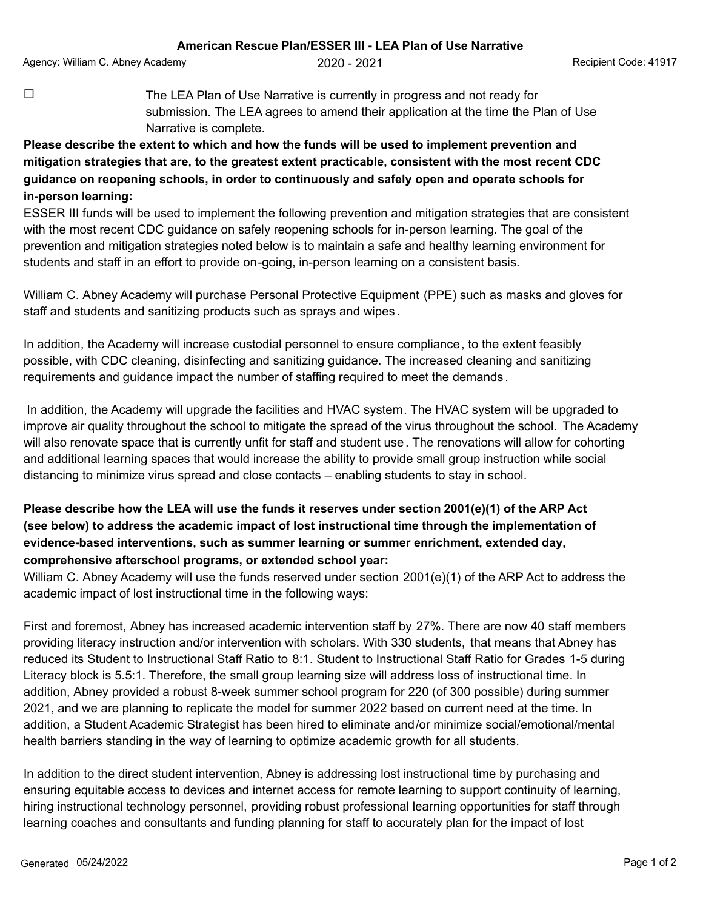Agency: William C. Abney Academy  $2020 - 2021$   $2021$  Recipient Code: 41917

 $\Box$  The LEA Plan of Use Narrative is currently in progress and not ready for submission. The LEA agrees to amend their application at the time the Plan of Use Narrative is complete.

**Please describe the extent to which and how the funds will be used to implement prevention and mitigation strategies that are, to the greatest extent practicable, consistent with the most recent CDC guidance on reopening schools, in order to continuously and safely open and operate schools for in-person learning:**

ESSER III funds will be used to implement the following prevention and mitigation strategies that are consistent with the most recent CDC guidance on safely reopening schools for in-person learning. The goal of the prevention and mitigation strategies noted below is to maintain a safe and healthy learning environment for students and staff in an effort to provide on-going, in-person learning on a consistent basis.

William C. Abney Academy will purchase Personal Protective Equipment (PPE) such as masks and gloves for staff and students and sanitizing products such as sprays and wipes.

In addition, the Academy will increase custodial personnel to ensure compliance, to the extent feasibly possible, with CDC cleaning, disinfecting and sanitizing guidance. The increased cleaning and sanitizing requirements and guidance impact the number of staffing required to meet the demands .

 In addition, the Academy will upgrade the facilities and HVAC system. The HVAC system will be upgraded to improve air quality throughout the school to mitigate the spread of the virus throughout the school. The Academy will also renovate space that is currently unfit for staff and student use. The renovations will allow for cohorting and additional learning spaces that would increase the ability to provide small group instruction while social distancing to minimize virus spread and close contacts – enabling students to stay in school.

## **Please describe how the LEA will use the funds it reserves under section 2001(e)(1) of the ARP Act (see below) to address the academic impact of lost instructional time through the implementation of evidence-based interventions, such as summer learning or summer enrichment, extended day, comprehensive afterschool programs, or extended school year:**

William C. Abney Academy will use the funds reserved under section 2001(e)(1) of the ARP Act to address the academic impact of lost instructional time in the following ways:

First and foremost, Abney has increased academic intervention staff by 27%. There are now 40 staff members providing literacy instruction and/or intervention with scholars. With 330 students, that means that Abney has reduced its Student to Instructional Staff Ratio to 8:1. Student to Instructional Staff Ratio for Grades 1-5 during Literacy block is 5.5:1. Therefore, the small group learning size will address loss of instructional time. In addition, Abney provided a robust 8-week summer school program for 220 (of 300 possible) during summer 2021, and we are planning to replicate the model for summer 2022 based on current need at the time. In addition, a Student Academic Strategist has been hired to eliminate and/or minimize social/emotional/mental health barriers standing in the way of learning to optimize academic growth for all students.

In addition to the direct student intervention, Abney is addressing lost instructional time by purchasing and ensuring equitable access to devices and internet access for remote learning to support continuity of learning, hiring instructional technology personnel, providing robust professional learning opportunities for staff through learning coaches and consultants and funding planning for staff to accurately plan for the impact of lost